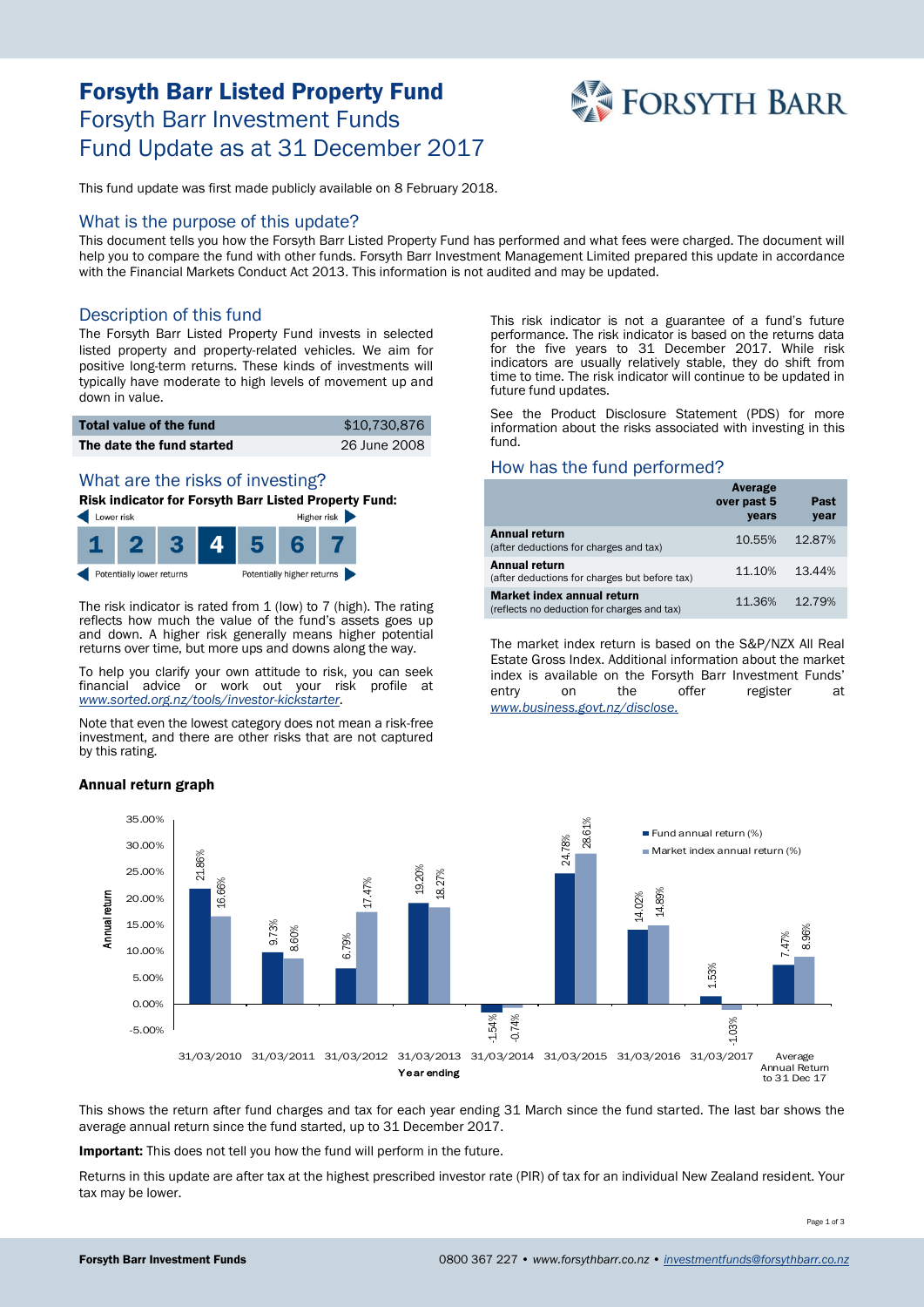# Forsyth Barr Listed Property Fund Forsyth Barr Investment Funds Fund Update as at 31 December 2017



This fund update was first made publicly available on 8 February 2018.

#### What is the purpose of this update?

This document tells you how the Forsyth Barr Listed Property Fund has performed and what fees were charged. The document will help you to compare the fund with other funds. Forsyth Barr Investment Management Limited prepared this update in accordance with the Financial Markets Conduct Act 2013. This information is not audited and may be updated.

### Description of this fund

The Forsyth Barr Listed Property Fund invests in selected listed property and property-related vehicles. We aim for positive long-term returns. These kinds of investments will typically have moderate to high levels of movement up and down in value.

| <b>Total value of the fund</b> | \$10,730,876 |
|--------------------------------|--------------|
| The date the fund started      | 26 June 2008 |

#### What are the risks of investing?

Risk indicator for Forsyth Barr Listed Property Fund:



The risk indicator is rated from 1 (low) to 7 (high). The rating reflects how much the value of the fund's assets goes up and down. A higher risk generally means higher potential returns over time, but more ups and downs along the way.

To help you clarify your own attitude to risk, you can seek financial advice or work out your risk profile at *[www.sorted.org.nz/tools/investor-kickstarter](http://www.sorted.org.nz/tools/investor-kickstarter)*.

Note that even the lowest category does not mean a risk-free investment, and there are other risks that are not captured by this rating.

Annual return graph

This risk indicator is not a guarantee of a fund's future performance. The risk indicator is based on the returns data for the five years to 31 December 2017. While risk indicators are usually relatively stable, they do shift from time to time. The risk indicator will continue to be updated in future fund updates.

See the Product Disclosure Statement (PDS) for more information about the risks associated with investing in this fund.

#### How has the fund performed?

|                                                                                  | Average<br>over past 5<br>years | Past<br>year |
|----------------------------------------------------------------------------------|---------------------------------|--------------|
| <b>Annual return</b><br>(after deductions for charges and tax)                   | 10.55%                          | 12.87%       |
| Annual return<br>(after deductions for charges but before tax)                   | 11.10%                          | 13.44%       |
| <b>Market index annual return</b><br>(reflects no deduction for charges and tax) | 11.36%                          | 12.79%       |

The market index return is based on the S&P/NZX All Real Estate Gross Index. Additional information about the market index is available on the Forsyth Barr Investment Funds' entry on the offer register at *[www.business.govt.nz/disclose.](http://www.business.govt.nz/disclose)*



This shows the return after fund charges and tax for each year ending 31 March since the fund started. The last bar shows the average annual return since the fund started, up to 31 December 2017.

Important: This does not tell you how the fund will perform in the future.

Returns in this update are after tax at the highest prescribed investor rate (PIR) of tax for an individual New Zealand resident. Your tax may be lower.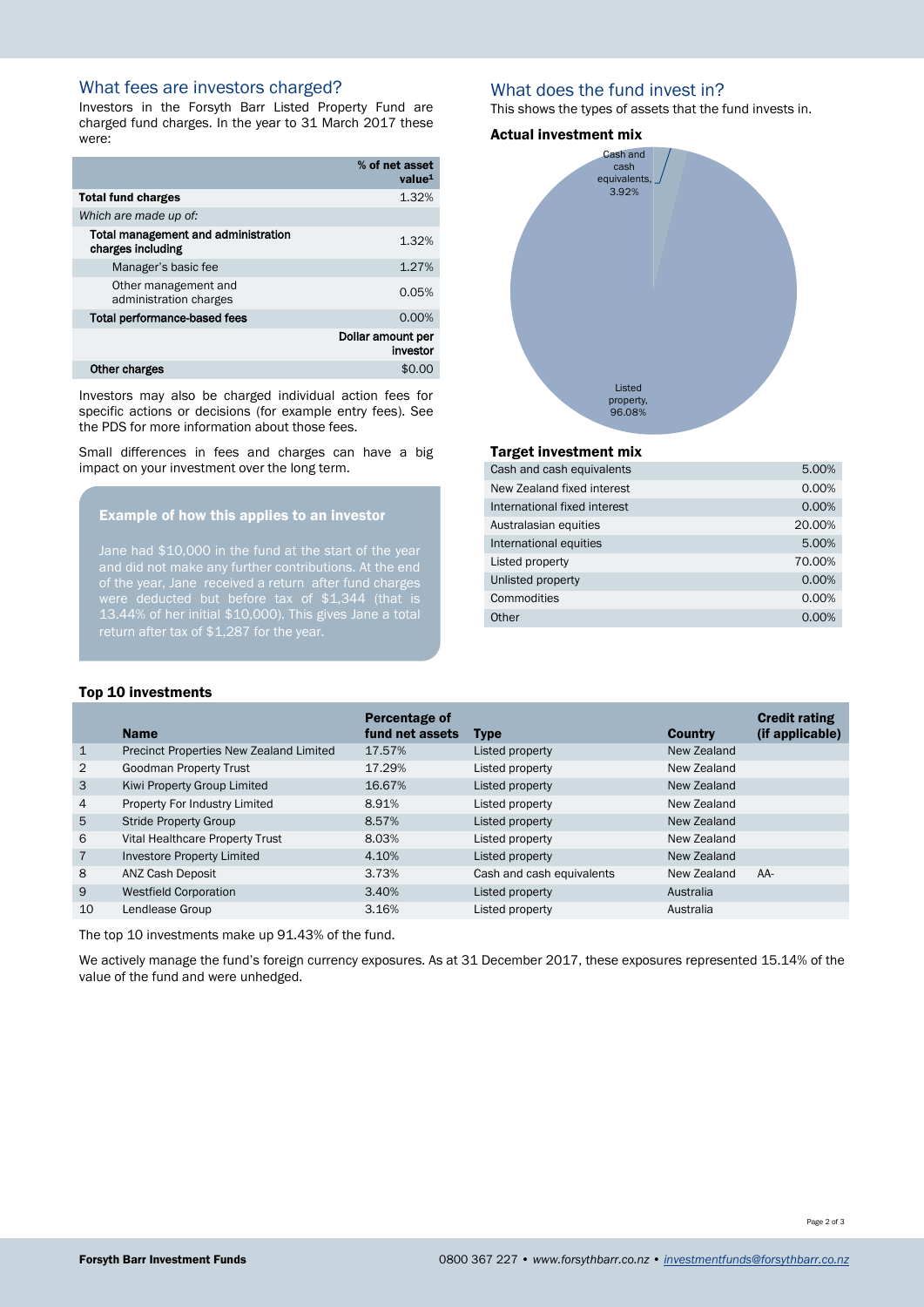## What fees are investors charged?

Investors in the Forsyth Barr Listed Property Fund are charged fund charges. In the year to 31 March 2017 these were:

|                                                          | % of net asset<br>value <sup>1</sup> |
|----------------------------------------------------------|--------------------------------------|
| <b>Total fund charges</b>                                | 1.32%                                |
| Which are made up of:                                    |                                      |
| Total management and administration<br>charges including | 1.32%                                |
| Manager's basic fee                                      | 1.27%                                |
| Other management and<br>administration charges           | 0.05%                                |
| <b>Total performance-based fees</b>                      | 0.00%                                |
|                                                          | Dollar amount per<br>investor        |
| Other charges                                            | SΩ                                   |

Investors may also be charged individual action fees for specific actions or decisions (for example entry fees). See the PDS for more information about those fees.

Small differences in fees and charges can have a big impact on your investment over the long term.

#### Example of how this applies to an investor

Jane had \$10,000 in the fund at the start of the year of the year, Jane received a return after fund charges 13.44% of her initial \$10,000). This gives Jane a total return after tax of \$1,287 for the year.

### What does the fund invest in?

This shows the types of assets that the fund invests in.

#### Actual investment mix



#### Target investment mix

| Cash and cash equivalents    | 5.00%  |
|------------------------------|--------|
| New Zealand fixed interest   | 0.00%  |
| International fixed interest | 0.00%  |
| Australasian equities        | 20.00% |
| International equities       | 5.00%  |
| Listed property              | 70.00% |
| Unlisted property            | 0.00%  |
| Commodities                  | 0.00%  |
| Other                        | 0.00%  |

#### Top 10 investments

|                | <b>Name</b>                             | Percentage of<br>fund net assets | <b>Type</b>               | <b>Country</b> | <b>Credit rating</b><br>(if applicable) |
|----------------|-----------------------------------------|----------------------------------|---------------------------|----------------|-----------------------------------------|
| $\mathbf{1}$   | Precinct Properties New Zealand Limited | 17.57%                           | Listed property           | New Zealand    |                                         |
| 2              | <b>Goodman Property Trust</b>           | 17.29%                           | Listed property           | New Zealand    |                                         |
| 3              | Kiwi Property Group Limited             | 16.67%                           | Listed property           | New Zealand    |                                         |
| $\overline{4}$ | Property For Industry Limited           | 8.91%                            | Listed property           | New Zealand    |                                         |
| 5              | <b>Stride Property Group</b>            | 8.57%                            | Listed property           | New Zealand    |                                         |
| 6              | Vital Healthcare Property Trust         | 8.03%                            | Listed property           | New Zealand    |                                         |
| $\overline{7}$ | Investore Property Limited              | 4.10%                            | Listed property           | New Zealand    |                                         |
| 8              | ANZ Cash Deposit                        | 3.73%                            | Cash and cash equivalents | New Zealand    | $AA-$                                   |
| 9              | <b>Westfield Corporation</b>            | 3.40%                            | Listed property           | Australia      |                                         |
| 10             | Lendlease Group                         | 3.16%                            | Listed property           | Australia      |                                         |

The top 10 investments make up 91.43% of the fund.

We actively manage the fund's foreign currency exposures. As at 31 December 2017, these exposures represented 15.14% of the value of the fund and were unhedged.